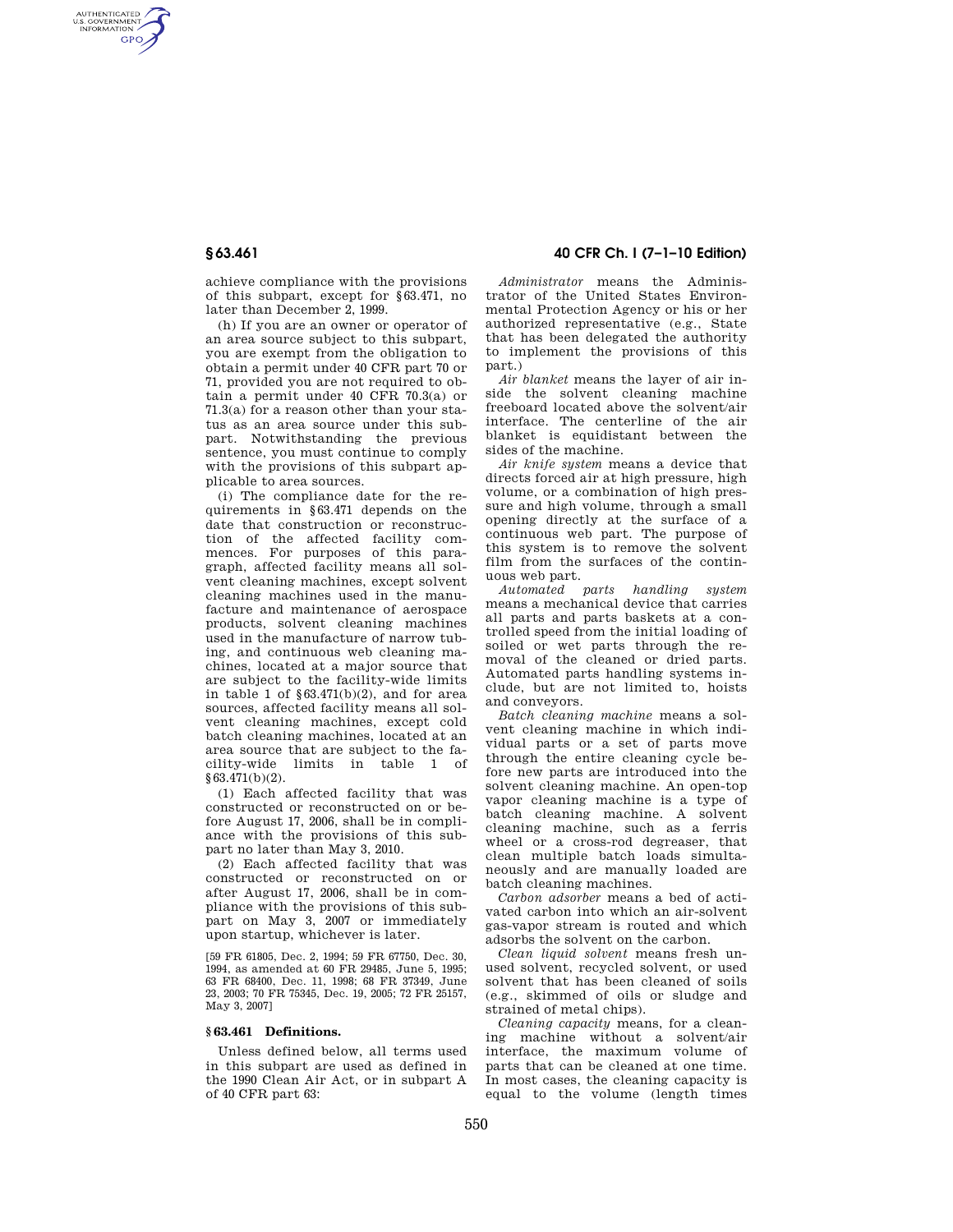AUTHENTICATED<br>U.S. GOVERNMENT<br>INFORMATION **GPO** 

> achieve compliance with the provisions of this subpart, except for §63.471, no later than December 2, 1999.

> (h) If you are an owner or operator of an area source subject to this subpart, you are exempt from the obligation to obtain a permit under 40 CFR part 70 or 71, provided you are not required to obtain a permit under 40 CFR 70.3(a) or 71.3(a) for a reason other than your status as an area source under this subpart. Notwithstanding the previous sentence, you must continue to comply with the provisions of this subpart applicable to area sources.

> (i) The compliance date for the requirements in §63.471 depends on the date that construction or reconstruction of the affected facility commences. For purposes of this paragraph, affected facility means all solvent cleaning machines, except solvent cleaning machines used in the manufacture and maintenance of aerospace products, solvent cleaning machines used in the manufacture of narrow tubing, and continuous web cleaning machines, located at a major source that are subject to the facility-wide limits in table 1 of  $\S 63.471(b)(2)$ , and for area sources, affected facility means all solvent cleaning machines, except cold batch cleaning machines, located at an area source that are subject to the facility-wide limits in table 1 of  $§63.471(b)(2).$

(1) Each affected facility that was constructed or reconstructed on or before August 17, 2006, shall be in compliance with the provisions of this subpart no later than May 3, 2010.

(2) Each affected facility that was constructed or reconstructed on or after August 17, 2006, shall be in compliance with the provisions of this subpart on May 3, 2007 or immediately upon startup, whichever is later.

[59 FR 61805, Dec. 2, 1994; 59 FR 67750, Dec. 30, 1994, as amended at 60 FR 29485, June 5, 1995; 63 FR 68400, Dec. 11, 1998; 68 FR 37349, June 23, 2003; 70 FR 75345, Dec. 19, 2005; 72 FR 25157, May 3, 2007]

### **§ 63.461 Definitions.**

Unless defined below, all terms used in this subpart are used as defined in the 1990 Clean Air Act, or in subpart A of 40 CFR part 63:

# **§ 63.461 40 CFR Ch. I (7–1–10 Edition)**

*Administrator* means the Administrator of the United States Environmental Protection Agency or his or her authorized representative (e.g., State that has been delegated the authority to implement the provisions of this part.)

*Air blanket* means the layer of air inside the solvent cleaning machine freeboard located above the solvent/air interface. The centerline of the air blanket is equidistant between the sides of the machine.

*Air knife system* means a device that directs forced air at high pressure, high volume, or a combination of high pressure and high volume, through a small opening directly at the surface of a continuous web part. The purpose of this system is to remove the solvent film from the surfaces of the continuous web part.

*Automated parts handling system*  means a mechanical device that carries all parts and parts baskets at a controlled speed from the initial loading of soiled or wet parts through the removal of the cleaned or dried parts. Automated parts handling systems include, but are not limited to, hoists and conveyors.

*Batch cleaning machine* means a solvent cleaning machine in which individual parts or a set of parts move through the entire cleaning cycle before new parts are introduced into the solvent cleaning machine. An open-top vapor cleaning machine is a type of batch cleaning machine. A solvent cleaning machine, such as a ferris wheel or a cross-rod degreaser, that clean multiple batch loads simultaneously and are manually loaded are batch cleaning machines.

*Carbon adsorber* means a bed of activated carbon into which an air-solvent gas-vapor stream is routed and which adsorbs the solvent on the carbon.

*Clean liquid solvent* means fresh unused solvent, recycled solvent, or used solvent that has been cleaned of soils (e.g., skimmed of oils or sludge and strained of metal chips).

*Cleaning capacity* means, for a cleaning machine without a solvent/air interface, the maximum volume of parts that can be cleaned at one time. In most cases, the cleaning capacity is equal to the volume (length times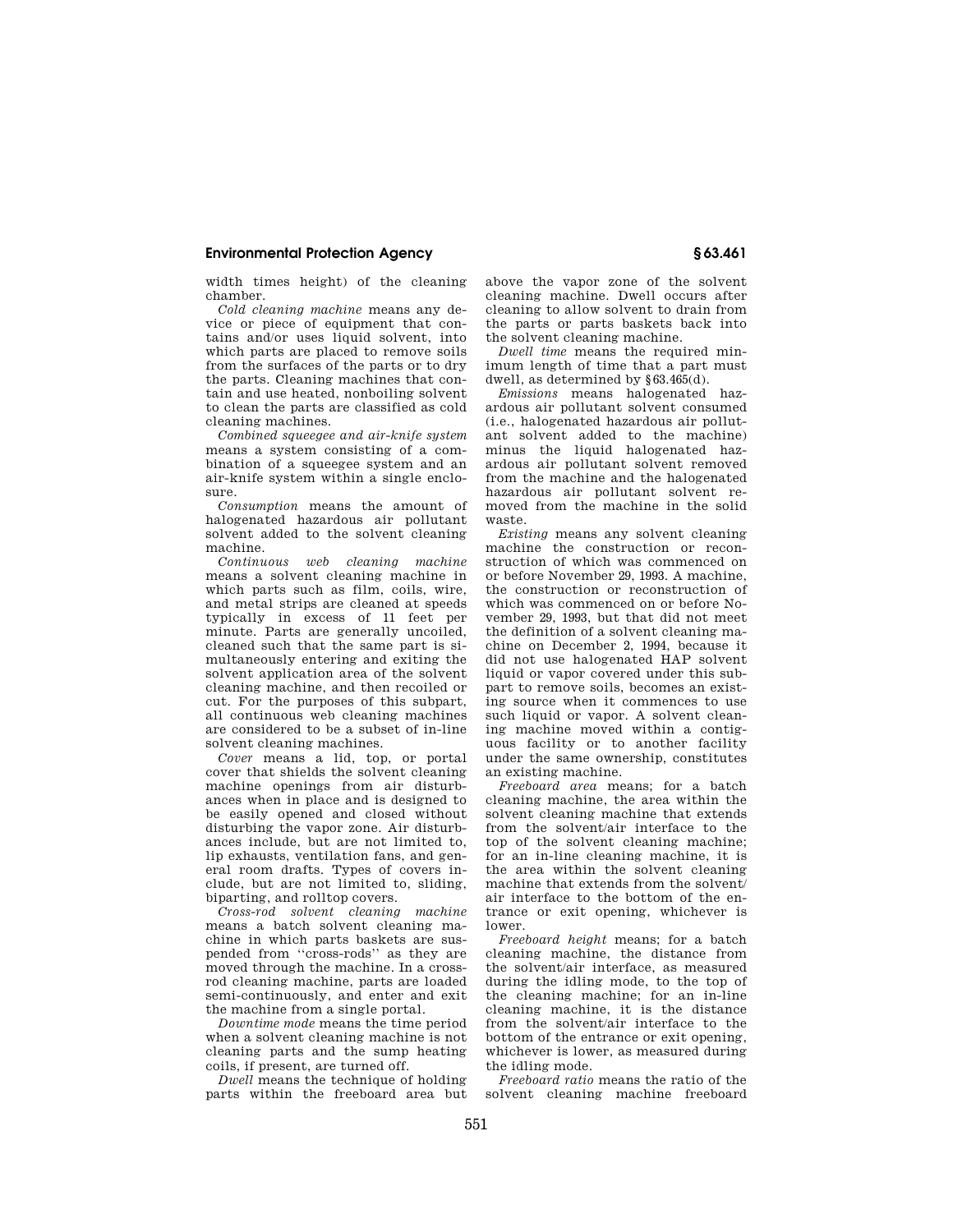## **Environmental Protection Agency § 63.461**

width times height) of the cleaning chamber.

*Cold cleaning machine* means any device or piece of equipment that contains and/or uses liquid solvent, into which parts are placed to remove soils from the surfaces of the parts or to dry the parts. Cleaning machines that contain and use heated, nonboiling solvent to clean the parts are classified as cold cleaning machines.

*Combined squeegee and air-knife system*  means a system consisting of a combination of a squeegee system and an air-knife system within a single enclosure.

*Consumption* means the amount of halogenated hazardous air pollutant solvent added to the solvent cleaning machine.

*Continuous web cleaning machine*  means a solvent cleaning machine in which parts such as film, coils, wire, and metal strips are cleaned at speeds typically in excess of 11 feet per minute. Parts are generally uncoiled, cleaned such that the same part is simultaneously entering and exiting the solvent application area of the solvent cleaning machine, and then recoiled or cut. For the purposes of this subpart, all continuous web cleaning machines are considered to be a subset of in-line solvent cleaning machines.

*Cover* means a lid, top, or portal cover that shields the solvent cleaning machine openings from air disturbances when in place and is designed to be easily opened and closed without disturbing the vapor zone. Air disturbances include, but are not limited to, lip exhausts, ventilation fans, and general room drafts. Types of covers include, but are not limited to, sliding, biparting, and rolltop covers.

*Cross-rod solvent cleaning machine*  means a batch solvent cleaning machine in which parts baskets are suspended from ''cross-rods'' as they are moved through the machine. In a crossrod cleaning machine, parts are loaded semi-continuously, and enter and exit the machine from a single portal.

*Downtime mode* means the time period when a solvent cleaning machine is not cleaning parts and the sump heating coils, if present, are turned off.

*Dwell* means the technique of holding parts within the freeboard area but above the vapor zone of the solvent cleaning machine. Dwell occurs after cleaning to allow solvent to drain from the parts or parts baskets back into the solvent cleaning machine.

*Dwell time* means the required minimum length of time that a part must dwell, as determined by §63.465(d).

*Emissions* means halogenated hazardous air pollutant solvent consumed (i.e., halogenated hazardous air pollutant solvent added to the machine) minus the liquid halogenated hazardous air pollutant solvent removed from the machine and the halogenated hazardous air pollutant solvent removed from the machine in the solid waste.

*Existing* means any solvent cleaning machine the construction or reconstruction of which was commenced on or before November 29, 1993. A machine, the construction or reconstruction of which was commenced on or before November 29, 1993, but that did not meet the definition of a solvent cleaning machine on December 2, 1994, because it did not use halogenated HAP solvent liquid or vapor covered under this subpart to remove soils, becomes an existing source when it commences to use such liquid or vapor. A solvent cleaning machine moved within a contiguous facility or to another facility under the same ownership, constitutes an existing machine.

*Freeboard area* means; for a batch cleaning machine, the area within the solvent cleaning machine that extends from the solvent/air interface to the top of the solvent cleaning machine; for an in-line cleaning machine, it is the area within the solvent cleaning machine that extends from the solvent/ air interface to the bottom of the entrance or exit opening, whichever is lower.

*Freeboard height* means; for a batch cleaning machine, the distance from the solvent/air interface, as measured during the idling mode, to the top of the cleaning machine; for an in-line cleaning machine, it is the distance from the solvent/air interface to the bottom of the entrance or exit opening, whichever is lower, as measured during the idling mode.

*Freeboard ratio* means the ratio of the solvent cleaning machine freeboard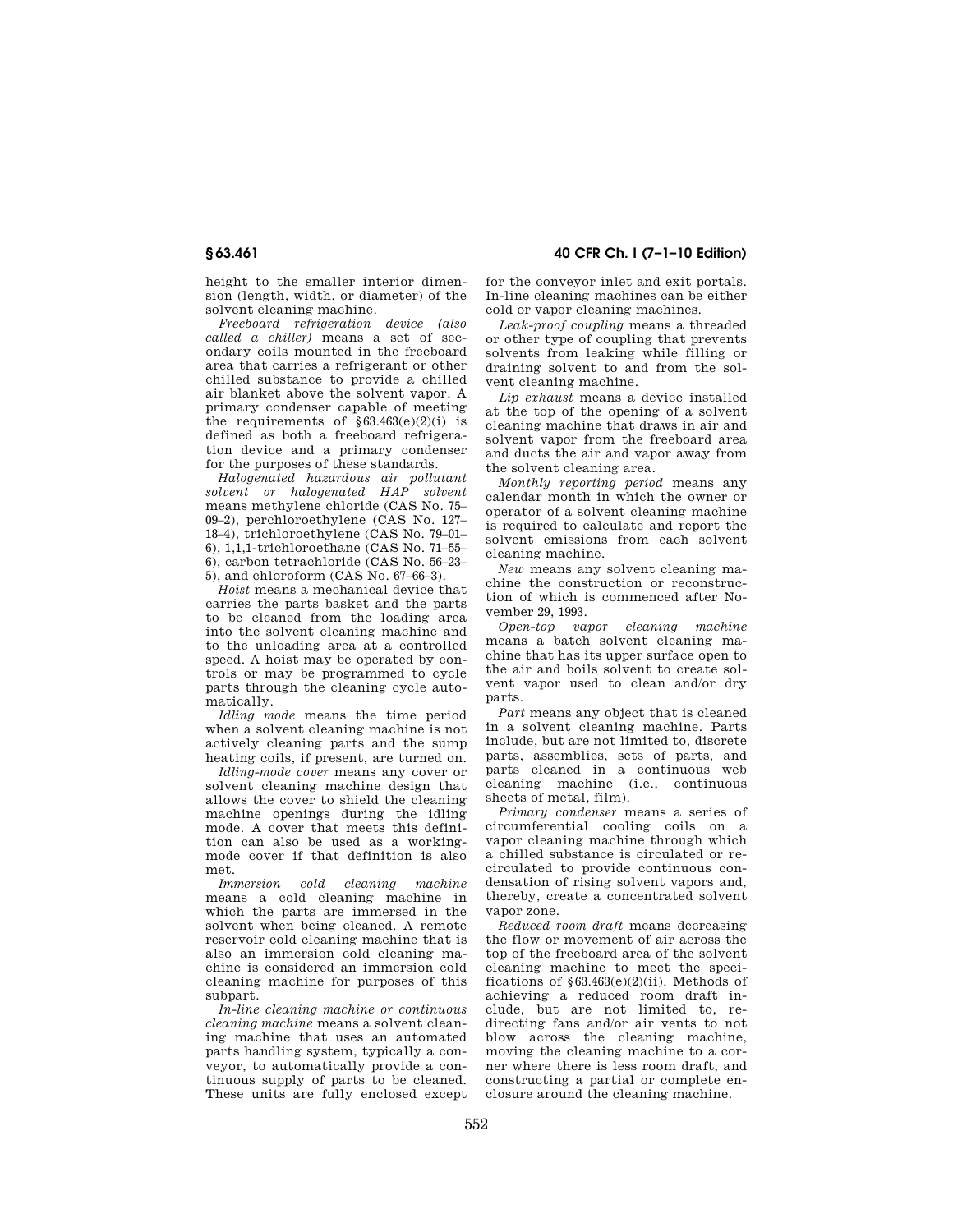height to the smaller interior dimension (length, width, or diameter) of the solvent cleaning machine.

*Freeboard refrigeration device (also called a chiller)* means a set of secondary coils mounted in the freeboard area that carries a refrigerant or other chilled substance to provide a chilled air blanket above the solvent vapor. A primary condenser capable of meeting the requirements of  $§63.463(e)(2)(i)$  is defined as both a freeboard refrigeration device and a primary condenser for the purposes of these standards.

*Halogenated hazardous air pollutant solvent or halogenated HAP solvent*  means methylene chloride (CAS No. 75– 09–2), perchloroethylene (CAS No. 127– 18–4), trichloroethylene (CAS No. 79–01– 6), 1,1,1-trichloroethane (CAS No. 71–55– 6), carbon tetrachloride (CAS No. 56–23– 5), and chloroform (CAS No. 67–66–3).

*Hoist* means a mechanical device that carries the parts basket and the parts to be cleaned from the loading area into the solvent cleaning machine and to the unloading area at a controlled speed. A hoist may be operated by controls or may be programmed to cycle parts through the cleaning cycle automatically.

*Idling mode* means the time period when a solvent cleaning machine is not actively cleaning parts and the sump heating coils, if present, are turned on.

*Idling-mode cover* means any cover or solvent cleaning machine design that allows the cover to shield the cleaning machine openings during the idling mode. A cover that meets this definition can also be used as a workingmode cover if that definition is also met.<br>Immersion

*Immersion cold cleaning machine*  means a cold cleaning machine in which the parts are immersed in the solvent when being cleaned. A remote reservoir cold cleaning machine that is also an immersion cold cleaning machine is considered an immersion cold cleaning machine for purposes of this subpart.

*In-line cleaning machine or continuous cleaning machine* means a solvent cleaning machine that uses an automated parts handling system, typically a conveyor, to automatically provide a continuous supply of parts to be cleaned. These units are fully enclosed except

**§ 63.461 40 CFR Ch. I (7–1–10 Edition)** 

for the conveyor inlet and exit portals. In-line cleaning machines can be either cold or vapor cleaning machines.

*Leak-proof coupling* means a threaded or other type of coupling that prevents solvents from leaking while filling or draining solvent to and from the solvent cleaning machine.

*Lip exhaust* means a device installed at the top of the opening of a solvent cleaning machine that draws in air and solvent vapor from the freeboard area and ducts the air and vapor away from the solvent cleaning area.

*Monthly reporting period* means any calendar month in which the owner or operator of a solvent cleaning machine is required to calculate and report the solvent emissions from each solvent cleaning machine.

*New* means any solvent cleaning machine the construction or reconstruction of which is commenced after November 29, 1993.

*Open-top vapor cleaning machine*  means a batch solvent cleaning machine that has its upper surface open to the air and boils solvent to create solvent vapor used to clean and/or dry parts.

*Part* means any object that is cleaned in a solvent cleaning machine. Parts include, but are not limited to, discrete parts, assemblies, sets of parts, and parts cleaned in a continuous web cleaning machine (i.e., continuous sheets of metal, film).

*Primary condenser* means a series of circumferential cooling coils on a vapor cleaning machine through which a chilled substance is circulated or recirculated to provide continuous condensation of rising solvent vapors and, thereby, create a concentrated solvent vapor zone.

*Reduced room draft* means decreasing the flow or movement of air across the top of the freeboard area of the solvent cleaning machine to meet the specifications of  $§63.463(e)(2)(ii)$ . Methods of achieving a reduced room draft include, but are not limited to, redirecting fans and/or air vents to not blow across the cleaning machine, moving the cleaning machine to a corner where there is less room draft, and constructing a partial or complete enclosure around the cleaning machine.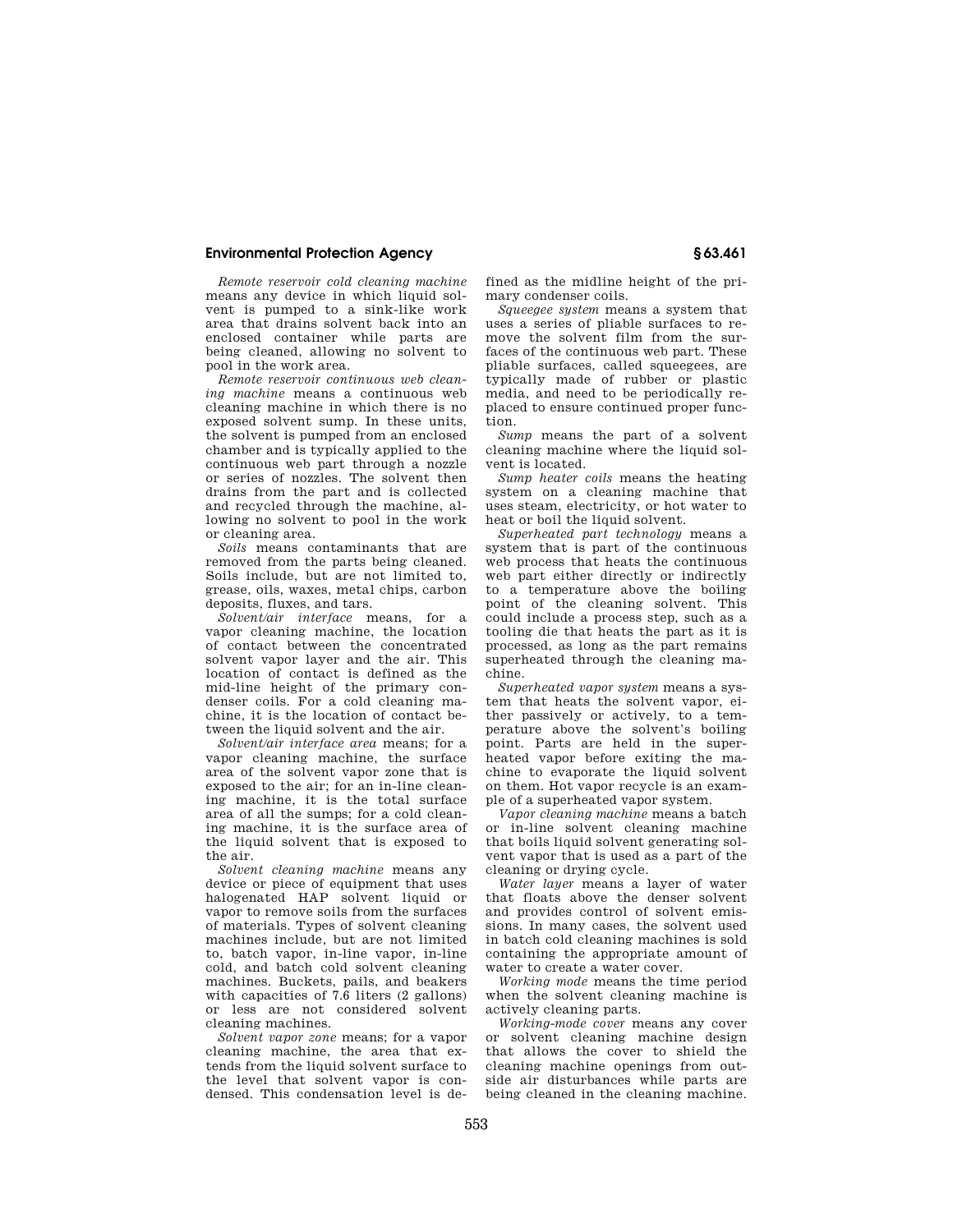## **Environmental Protection Agency § 63.461**

*Remote reservoir cold cleaning machine*  means any device in which liquid solvent is pumped to a sink-like work area that drains solvent back into an enclosed container while parts are being cleaned, allowing no solvent to pool in the work area.

*Remote reservoir continuous web cleaning machine* means a continuous web cleaning machine in which there is no exposed solvent sump. In these units, the solvent is pumped from an enclosed chamber and is typically applied to the continuous web part through a nozzle or series of nozzles. The solvent then drains from the part and is collected and recycled through the machine, allowing no solvent to pool in the work or cleaning area.

*Soils* means contaminants that are removed from the parts being cleaned. Soils include, but are not limited to, grease, oils, waxes, metal chips, carbon deposits, fluxes, and tars.

*Solvent/air interface* means, for a vapor cleaning machine, the location of contact between the concentrated solvent vapor layer and the air. This location of contact is defined as the mid-line height of the primary condenser coils. For a cold cleaning machine, it is the location of contact between the liquid solvent and the air.

*Solvent/air interface area* means; for a vapor cleaning machine, the surface area of the solvent vapor zone that is exposed to the air; for an in-line cleaning machine, it is the total surface area of all the sumps; for a cold cleaning machine, it is the surface area of the liquid solvent that is exposed to the air.

*Solvent cleaning machine* means any device or piece of equipment that uses halogenated HAP solvent liquid or vapor to remove soils from the surfaces of materials. Types of solvent cleaning machines include, but are not limited to, batch vapor, in-line vapor, in-line cold, and batch cold solvent cleaning machines. Buckets, pails, and beakers with capacities of 7.6 liters (2 gallons) or less are not considered solvent cleaning machines.

*Solvent vapor zone* means; for a vapor cleaning machine, the area that extends from the liquid solvent surface to the level that solvent vapor is condensed. This condensation level is defined as the midline height of the primary condenser coils.

*Squeegee system* means a system that uses a series of pliable surfaces to remove the solvent film from the surfaces of the continuous web part. These pliable surfaces, called squeegees, are typically made of rubber or plastic media, and need to be periodically replaced to ensure continued proper function.

*Sump* means the part of a solvent cleaning machine where the liquid solvent is located.

*Sump heater coils* means the heating system on a cleaning machine that uses steam, electricity, or hot water to heat or boil the liquid solvent.

*Superheated part technology* means a system that is part of the continuous web process that heats the continuous web part either directly or indirectly to a temperature above the boiling point of the cleaning solvent. This could include a process step, such as a tooling die that heats the part as it is processed, as long as the part remains superheated through the cleaning machine.

*Superheated vapor system* means a system that heats the solvent vapor, either passively or actively, to a temperature above the solvent's boiling point. Parts are held in the superheated vapor before exiting the machine to evaporate the liquid solvent on them. Hot vapor recycle is an example of a superheated vapor system.

*Vapor cleaning machine* means a batch or in-line solvent cleaning machine that boils liquid solvent generating solvent vapor that is used as a part of the cleaning or drying cycle.

*Water layer* means a layer of water that floats above the denser solvent and provides control of solvent emissions. In many cases, the solvent used in batch cold cleaning machines is sold containing the appropriate amount of water to create a water cover.

*Working mode* means the time period when the solvent cleaning machine is actively cleaning parts.

*Working-mode cover* means any cover or solvent cleaning machine design that allows the cover to shield the cleaning machine openings from outside air disturbances while parts are being cleaned in the cleaning machine.